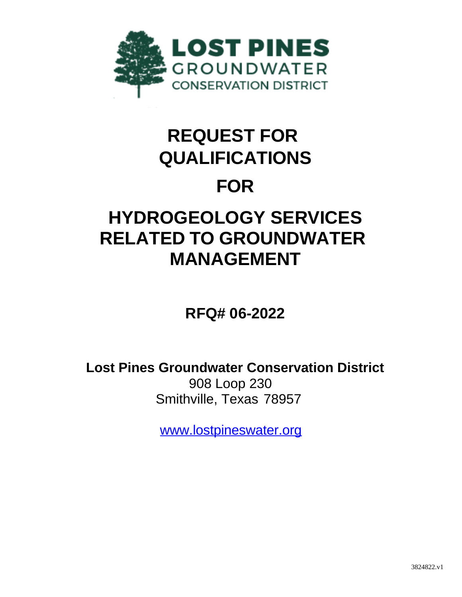

# **REQUEST FOR QUALIFICATIONS**

### **FOR**

## **HYDROGEOLOGY SERVICES RELATED TO GROUNDWATER MANAGEMENT**

**RFQ# 06-2022**

**Lost Pines Groundwater Conservation District** 908 Loop 230 Smithville, Texas 78957

[www.lostpineswater.org](http://www.lostpineswater.org/)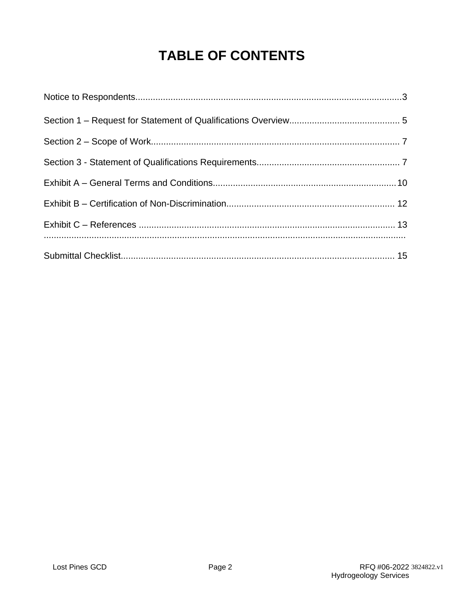### **TABLE OF CONTENTS**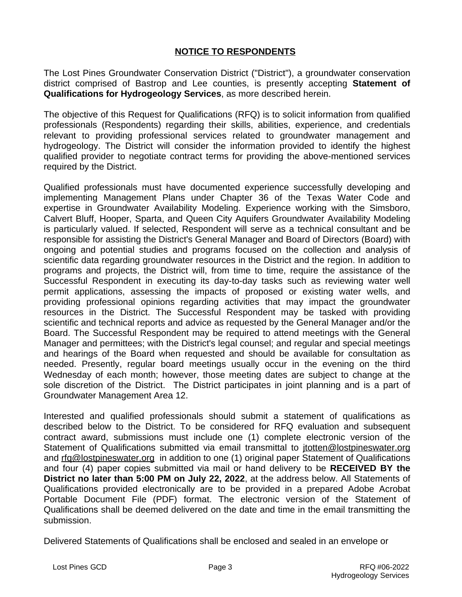#### **NOTICE TO RESPONDENTS**

The Lost Pines Groundwater Conservation District ("District"), a groundwater conservation district comprised of Bastrop and Lee counties, is presently accepting **Statement of Qualifications for Hydrogeology Services**, as more described herein.

The objective of this Request for Qualifications (RFQ) is to solicit information from qualified professionals (Respondents) regarding their skills, abilities, experience, and credentials relevant to providing professional services related to groundwater management and hydrogeology. The District will consider the information provided to identify the highest qualified provider to negotiate contract terms for providing the above-mentioned services required by the District.

Qualified professionals must have documented experience successfully developing and implementing Management Plans under Chapter 36 of the Texas Water Code and expertise in Groundwater Availability Modeling. Experience working with the Simsboro, Calvert Bluff, Hooper, Sparta, and Queen City Aquifers Groundwater Availability Modeling is particularly valued. If selected, Respondent will serve as a technical consultant and be responsible for assisting the District's General Manager and Board of Directors (Board) with ongoing and potential studies and programs focused on the collection and analysis of scientific data regarding groundwater resources in the District and the region. In addition to programs and projects, the District will, from time to time, require the assistance of the Successful Respondent in executing its day-to-day tasks such as reviewing water well permit applications, assessing the impacts of proposed or existing water wells, and providing professional opinions regarding activities that may impact the groundwater resources in the District. The Successful Respondent may be tasked with providing scientific and technical reports and advice as requested by the General Manager and/or the Board. The Successful Respondent may be required to attend meetings with the General Manager and permittees; with the District's legal counsel; and regular and special meetings and hearings of the Board when requested and should be available for consultation as needed. Presently, regular board meetings usually occur in the evening on the third Wednesday of each month; however, those meeting dates are subject to change at the sole discretion of the District. The District participates in joint planning and is a part of Groundwater Management Area 12.

Interested and qualified professionals should submit a statement of qualifications as described below to the District. To be considered for RFQ evaluation and subsequent contract award, submissions must include one (1) complete electronic version of the Statement of Qualifications submitted via email transmittal to [jtotten@lostpineswater.org](mailto:jtotten@lostpineswater.org) and rfg@lostpineswater.org in addition to one (1) original paper Statement of Qualifications and four (4) paper copies submitted via mail or hand delivery to be **RECEIVED BY the District no later than 5:00 PM on July 22, 2022**, at the address below. All Statements of Qualifications provided electronically are to be provided in a prepared Adobe Acrobat Portable Document File (PDF) format. The electronic version of the Statement of Qualifications shall be deemed delivered on the date and time in the email transmitting the submission.

Delivered Statements of Qualifications shall be enclosed and sealed in an envelope or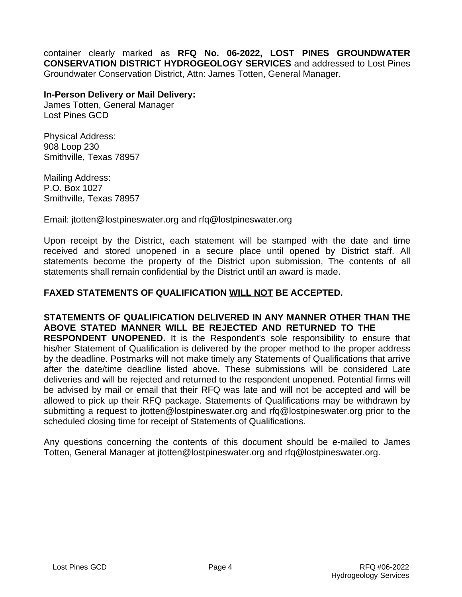container clearly marked as **RFQ No. 06-2022, LOST PINES GROUNDWATER CONSERVATION DISTRICT HYDROGEOLOGY SERVICES** and addressed to Lost Pines Groundwater Conservation District, Attn: James Totten, General Manager.

#### **In-Person Delivery or Mail Delivery:**

James Totten, General Manager Lost Pines GCD

Physical Address: 908 Loop 230 Smithville, Texas 78957

Mailing Address: P.O. Box 1027 Smithville, Texas 78957

Email: [jtotten@lostpineswater.org](mailto:jtotten@lostpineswater.org) and rfq@lostpineswater.org

Upon receipt by the District, each statement will be stamped with the date and time received and stored unopened in a secure place until opened by District staff. All statements become the property of the District upon submission, The contents of all statements shall remain confidential by the District until an award is made.

#### **FAXED STATEMENTS OF QUALIFICATION WILL NOT BE ACCEPTED.**

**STATEMENTS OF QUALIFICATION DELIVERED IN ANY MANNER OTHER THAN THE ABOVE STATED MANNER WILL BE REJECTED AND RETURNED TO THE RESPONDENT UNOPENED.** It is the Respondent's sole responsibility to ensure that his/her Statement of Qualification is delivered by the proper method to the proper address by the deadline. Postmarks will not make timely any Statements of Qualifications that arrive after the date/time deadline listed above. These submissions will be considered Late deliveries and will be rejected and returned to the respondent unopened. Potential firms will be advised by mail or email that their RFQ was late and will not be accepted and will be allowed to pick up their RFQ package. Statements of Qualifications may be withdrawn by submitting a request to [jtotten@lostpineswater.org](mailto:jtotten@lostpineswater.org) and rfq@lostpineswater.org prior to the scheduled closing time for receipt of Statements of Qualifications.

Any questions concerning the contents of this document should be e-mailed to James Totten, General Manager at [jtotten@lostpineswater.org](mailto:jtotten@lostpineswater.org) and rfq@lostpineswater.org.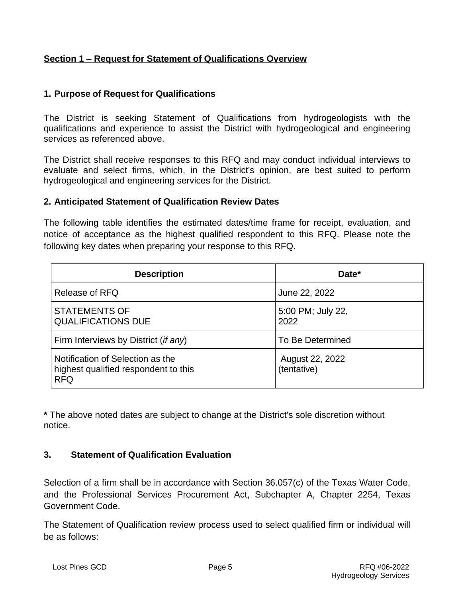#### **Section 1 – Request for Statement of Qualifications Overview**

#### **1. Purpose of Request for Qualifications**

The District is seeking Statement of Qualifications from hydrogeologists with the qualifications and experience to assist the District with hydrogeological and engineering services as referenced above.

The District shall receive responses to this RFQ and may conduct individual interviews to evaluate and select firms, which, in the District's opinion, are best suited to perform hydrogeological and engineering services for the District.

#### **2. Anticipated Statement of Qualification Review Dates**

The following table identifies the estimated dates/time frame for receipt, evaluation, and notice of acceptance as the highest qualified respondent to this RFQ. Please note the following key dates when preparing your response to this RFQ.

| <b>Description</b>                                                                     | Date*                          |
|----------------------------------------------------------------------------------------|--------------------------------|
| Release of RFQ                                                                         | June 22, 2022                  |
| <b>STATEMENTS OF</b><br><b>QUALIFICATIONS DUE</b>                                      | 5:00 PM; July 22,<br>2022      |
| Firm Interviews by District (if any)                                                   | To Be Determined               |
| Notification of Selection as the<br>highest qualified respondent to this<br><b>RFQ</b> | August 22, 2022<br>(tentative) |

**\*** The above noted dates are subject to change at the District's sole discretion without notice.

#### **3. Statement of Qualification Evaluation**

Selection of a firm shall be in accordance with Section 36.057(c) of the Texas Water Code, and the Professional Services Procurement Act, Subchapter A, Chapter 2254, Texas Government Code.

The Statement of Qualification review process used to select qualified firm or individual will be as follows: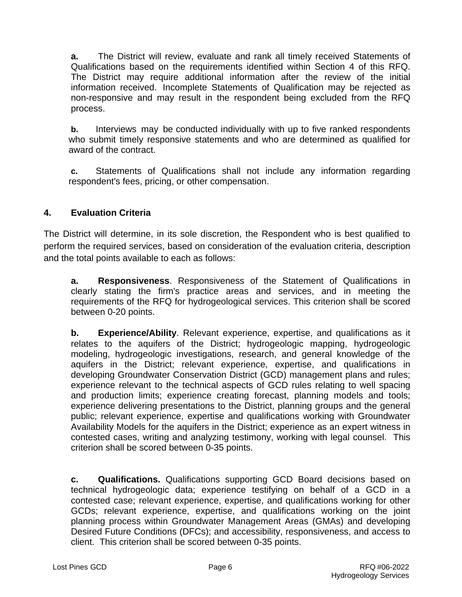**a.** The District will review, evaluate and rank all timely received Statements of Qualifications based on the requirements identified within Section 4 of this RFQ. The District may require additional information after the review of the initial information received. Incomplete Statements of Qualification may be rejected as non-responsive and may result in the respondent being excluded from the RFQ process.

**b.** Interviews may be conducted individually with up to five ranked respondents who submit timely responsive statements and who are determined as qualified for award of the contract.

**c.** Statements of Qualifications shall not include any information regarding respondent's fees, pricing, or other compensation.

#### **4. Evaluation Criteria**

The District will determine, in its sole discretion, the Respondent who is best qualified to perform the required services, based on consideration of the evaluation criteria, description and the total points available to each as follows:

**a. Responsiveness**. Responsiveness of the Statement of Qualifications in clearly stating the firm's practice areas and services, and in meeting the requirements of the RFQ for hydrogeological services. This criterion shall be scored between 0-20 points.

**b. Experience/Ability**. Relevant experience, expertise, and qualifications as it relates to the aquifers of the District; hydrogeologic mapping, hydrogeologic modeling, hydrogeologic investigations, research, and general knowledge of the aquifers in the District; relevant experience, expertise, and qualifications in developing Groundwater Conservation District (GCD) management plans and rules; experience relevant to the technical aspects of GCD rules relating to well spacing and production limits; experience creating forecast, planning models and tools; experience delivering presentations to the District, planning groups and the general public; relevant experience, expertise and qualifications working with Groundwater Availability Models for the aquifers in the District; experience as an expert witness in contested cases, writing and analyzing testimony, working with legal counsel. This criterion shall be scored between 0-35 points.

**c. Qualifications.** Qualifications supporting GCD Board decisions based on technical hydrogeologic data; experience testifying on behalf of a GCD in a contested case; relevant experience, expertise, and qualifications working for other GCDs; relevant experience, expertise, and qualifications working on the joint planning process within Groundwater Management Areas (GMAs) and developing Desired Future Conditions (DFCs); and accessibility, responsiveness, and access to client. This criterion shall be scored between 0-35 points.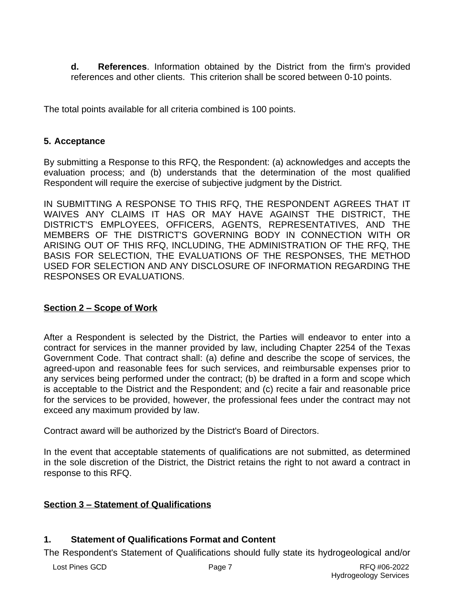**d. References**. Information obtained by the District from the firm's provided references and other clients. This criterion shall be scored between 0-10 points.

The total points available for all criteria combined is 100 points.

#### **5. Acceptance**

By submitting a Response to this RFQ, the Respondent: (a) acknowledges and accepts the evaluation process; and (b) understands that the determination of the most qualified Respondent will require the exercise of subjective judgment by the District.

IN SUBMITTING A RESPONSE TO THIS RFQ, THE RESPONDENT AGREES THAT IT WAIVES ANY CLAIMS IT HAS OR MAY HAVE AGAINST THE DISTRICT, THE DISTRICT'S EMPLOYEES, OFFICERS, AGENTS, REPRESENTATIVES, AND THE MEMBERS OF THE DISTRICT'S GOVERNING BODY IN CONNECTION WITH OR ARISING OUT OF THIS RFQ, INCLUDING, THE ADMINISTRATION OF THE RFQ, THE BASIS FOR SELECTION, THE EVALUATIONS OF THE RESPONSES, THE METHOD USED FOR SELECTION AND ANY DISCLOSURE OF INFORMATION REGARDING THE RESPONSES OR EVALUATIONS.

#### **Section 2 – Scope of Work**

After a Respondent is selected by the District, the Parties will endeavor to enter into a contract for services in the manner provided by law, including Chapter 2254 of the Texas Government Code. That contract shall: (a) define and describe the scope of services, the agreed-upon and reasonable fees for such services, and reimbursable expenses prior to any services being performed under the contract; (b) be drafted in a form and scope which is acceptable to the District and the Respondent; and (c) recite a fair and reasonable price for the services to be provided, however, the professional fees under the contract may not exceed any maximum provided by law.

Contract award will be authorized by the District's Board of Directors.

In the event that acceptable statements of qualifications are not submitted, as determined in the sole discretion of the District, the District retains the right to not award a contract in response to this RFQ.

#### **Section 3 – Statement of Qualifications**

#### **1. Statement of Qualifications Format and Content**

The Respondent's Statement of Qualifications should fully state its hydrogeological and/or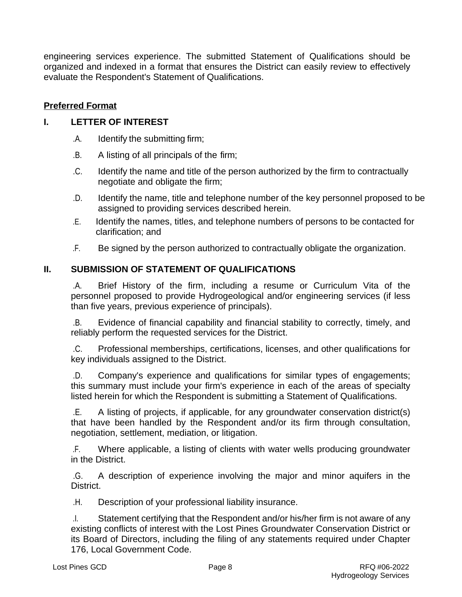engineering services experience. The submitted Statement of Qualifications should be organized and indexed in a format that ensures the District can easily review to effectively evaluate the Respondent's Statement of Qualifications.

#### **Preferred Format**

#### **I. LETTER OF INTEREST**

- .A. Identify the submitting firm;
- $B<sub>1</sub>$ .B. A listing of all principals of the firm;
- $.C.$ Identify the name and title of the person authorized by the firm to contractually negotiate and obligate the firm;
- .D. Identify the name, title and telephone number of the key personnel proposed to be assigned to providing services described herein.
- -Identify the names, titles, and telephone numbers of persons to be contacted for clarification; and
- -Be signed by the person authorized to contractually obligate the organization.

#### **II. SUBMISSION OF STATEMENT OF QUALIFICATIONS**

.A. Brief History of the firm, including a resume or Curriculum Vita of the personnel proposed to provide Hydrogeological and/or engineering services (if less than five years, previous experience of principals).

.B. Evidence of financial capability and financial stability to correctly, timely, and reliably perform the requested services for the District.

 $.C.$ .C. Professional memberships, certifications, licenses, and other qualifications for key individuals assigned to the District.

 $.D.$ Company's experience and qualifications for similar types of engagements; this summary must include your firm's experience in each of the areas of specialty listed herein for which the Respondent is submitting a Statement of Qualifications.

.E. A listing of projects, if applicable, for any groundwater conservation district(s) that have been handled by the Respondent and/or its firm through consultation, negotiation, settlement, mediation, or litigation.

 $\mathsf{F}_{\mathsf{r}}$ Where applicable, a listing of clients with water wells producing groundwater in the District.

-.G. A description of experience involving the major and minor aquifers in the District.

**H.** Description of your professional liability insurance.

.l. Statement certifying that the Respondent and/or his/her firm is not aware of any existing conflicts of interest with the Lost Pines Groundwater Conservation District or its Board of Directors, including the filing of any statements required under Chapter 176, Local Government Code.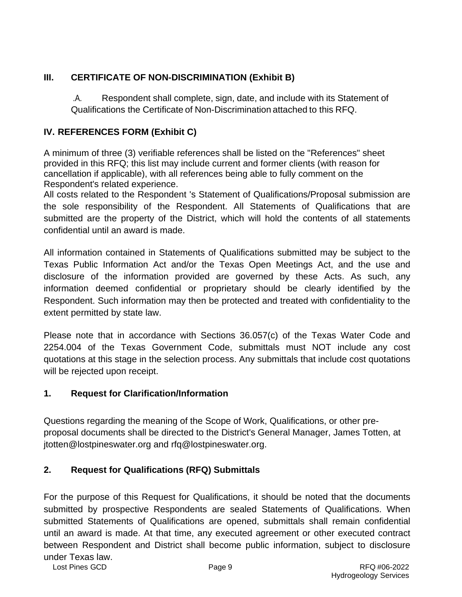#### **III. CERTIFICATE OF NON-DISCRIMINATION (Exhibit B)**

 $A_{1}$ Respondent shall complete, sign, date, and include with its Statement of Qualifications the Certificate of Non-Discrimination attached to this RFQ.

#### **IV. REFERENCES FORM (Exhibit C)**

A minimum of three (3) verifiable references shall be listed on the "References" sheet provided in this RFQ; this list may include current and former clients (with reason for cancellation if applicable), with all references being able to fully comment on the Respondent's related experience.

All costs related to the Respondent 's Statement of Qualifications/Proposal submission are the sole responsibility of the Respondent. All Statements of Qualifications that are submitted are the property of the District, which will hold the contents of all statements confidential until an award is made.

All information contained in Statements of Qualifications submitted may be subject to the Texas Public Information Act and/or the Texas Open Meetings Act, and the use and disclosure of the information provided are governed by these Acts. As such, any information deemed confidential or proprietary should be clearly identified by the Respondent. Such information may then be protected and treated with confidentiality to the extent permitted by state law.

Please note that in accordance with Sections 36.057(c) of the Texas Water Code and 2254.004 of the Texas Government Code, submittals must NOT include any cost quotations at this stage in the selection process. Any submittals that include cost quotations will be rejected upon receipt.

#### **1. Request for Clarification/Information**

Questions regarding the meaning of the Scope of Work, Qualifications, or other preproposal documents shall be directed to the District's General Manager, James Totten, at [jtotten@lostpineswater.org](mailto:jtotten@lostpineswater.org) and rfq@lostpineswater.org.

#### **2. Request for Qualifications (RFQ) Submittals**

For the purpose of this Request for Qualifications, it should be noted that the documents submitted by prospective Respondents are sealed Statements of Qualifications. When submitted Statements of Qualifications are opened, submittals shall remain confidential until an award is made. At that time, any executed agreement or other executed contract between Respondent and District shall become public information, subject to disclosure under Texas law.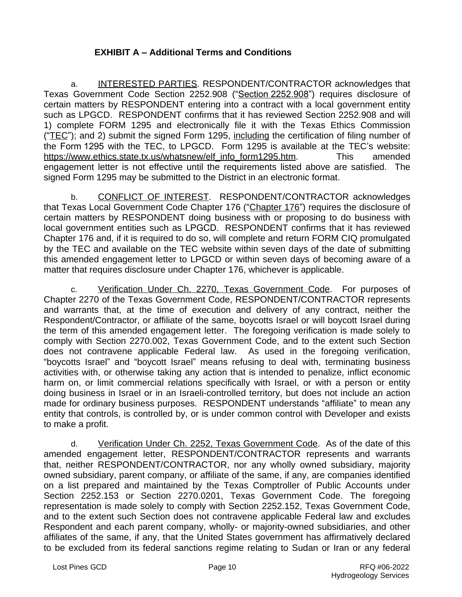#### **EXHIBIT A – Additional Terms and Conditions**

a. INTERESTED PARTIES. RESPONDENT/CONTRACTOR acknowledges that Texas Government Code Section 2252.908 ("Section 2252.908") requires disclosure of certain matters by RESPONDENT entering into a contract with a local government entity such as LPGCD. RESPONDENT confirms that it has reviewed Section 2252.908 and will 1) complete FORM 1295 and electronically file it with the Texas Ethics Commission ("TEC"); and 2) submit the signed Form 1295, including the certification of filing number of the Form 1295 with the TEC, to LPGCD. Form 1295 is available at the TEC's website: [https://www.ethics.state.tx.us/whatsnew/elf\\_info\\_form1295.htm](https://www.ethics.state.tx.us/whatsnew/elf_info_form1295.htm). This amended engagement letter is not effective until the requirements listed above are satisfied. The signed Form 1295 may be submitted to the District in an electronic format.

b. CONFLICT OF INTEREST. RESPONDENT/CONTRACTOR acknowledges that Texas Local Government Code Chapter 176 ("Chapter 176") requires the disclosure of certain matters by RESPONDENT doing business with or proposing to do business with local government entities such as LPGCD. RESPONDENT confirms that it has reviewed Chapter 176 and, if it is required to do so, will complete and return FORM CIQ promulgated by the TEC and available on the TEC website within seven days of the date of submitting this amended engagement letter to LPGCD or within seven days of becoming aware of a matter that requires disclosure under Chapter 176, whichever is applicable.

c. Verification Under Ch. 2270, Texas Government Code. For purposes of Chapter 2270 of the Texas Government Code, RESPONDENT/CONTRACTOR represents and warrants that, at the time of execution and delivery of any contract, neither the Respondent/Contractor, or affiliate of the same, boycotts Israel or will boycott Israel during the term of this amended engagement letter. The foregoing verification is made solely to comply with Section 2270.002, Texas Government Code, and to the extent such Section does not contravene applicable Federal law. As used in the foregoing verification, "boycotts Israel" and "boycott Israel" means refusing to deal with, terminating business activities with, or otherwise taking any action that is intended to penalize, inflict economic harm on, or limit commercial relations specifically with Israel, or with a person or entity doing business in Israel or in an Israeli-controlled territory, but does not include an action made for ordinary business purposes. RESPONDENT understands "affiliate" to mean any entity that controls, is controlled by, or is under common control with Developer and exists to make a profit.

d. Verification Under Ch. 2252, Texas Government Code. As of the date of this amended engagement letter, RESPONDENT/CONTRACTOR represents and warrants that, neither RESPONDENT/CONTRACTOR, nor any wholly owned subsidiary, majority owned subsidiary, parent company, or affiliate of the same, if any, are companies identified on a list prepared and maintained by the Texas Comptroller of Public Accounts under Section 2252.153 or Section 2270.0201, Texas Government Code. The foregoing representation is made solely to comply with Section 2252.152, Texas Government Code, and to the extent such Section does not contravene applicable Federal law and excludes Respondent and each parent company, wholly- or majority-owned subsidiaries, and other affiliates of the same, if any, that the United States government has affirmatively declared to be excluded from its federal sanctions regime relating to Sudan or Iran or any federal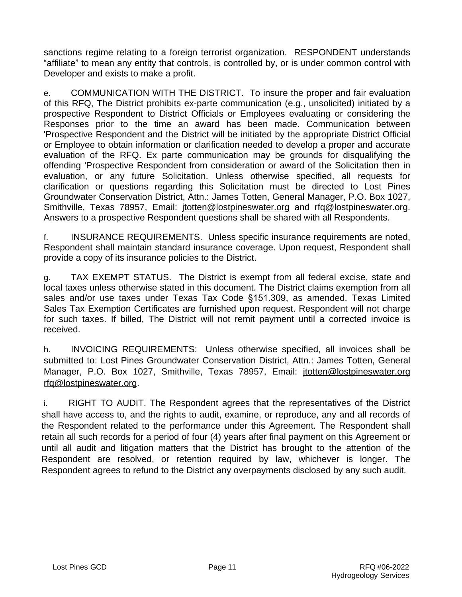sanctions regime relating to a foreign terrorist organization. RESPONDENT understands "affiliate" to mean any entity that controls, is controlled by, or is under common control with Developer and exists to make a profit.

e. COMMUNICATION WITH THE DISTRICT. To insure the proper and fair evaluation of this RFQ, The District prohibits ex-parte communication (e.g., unsolicited) initiated by a prospective Respondent to District Officials or Employees evaluating or considering the Responses prior to the time an award has been made. Communication between 'Prospective Respondent and the District will be initiated by the appropriate District Official or Employee to obtain information or clarification needed to develop a proper and accurate evaluation of the RFQ. Ex parte communication may be grounds for disqualifying the offending 'Prospective Respondent from consideration or award of the Solicitation then in evaluation, or any future Solicitation. Unless otherwise specified, all requests for clarification or questions regarding this Solicitation must be directed to Lost Pines Groundwater Conservation District, Attn.: James Totten, General Manager, P.O. Box 1027, Smithville, Texas 78957, Email: [jtotten@lostpineswater.org](mailto:jtotten@lostpineswater.org) and rfq@lostpineswater.org. Answers to a prospective Respondent questions shall be shared with all Respondents.

f. INSURANCE REQUIREMENTS. Unless specific insurance requirements are noted, Respondent shall maintain standard insurance coverage. Upon request, Respondent shall provide a copy of its insurance policies to the District.

g. TAX EXEMPT STATUS. The District is exempt from all federal excise, state and local taxes unless otherwise stated in this document. The District claims exemption from all sales and/or use taxes under Texas Tax Code §151.309, as amended. Texas Limited Sales Tax Exemption Certificates are furnished upon request. Respondent will not charge for such taxes. If billed, The District will not remit payment until a corrected invoice is received.

h. INVOICING REQUIREMENTS: Unless otherwise specified, all invoices shall be submitted to: Lost Pines Groundwater Conservation District, Attn.: James Totten, General Manager, P.O. Box 1027, Smithville, Texas 78957, Email: [jtotten@lostpineswater.org](mailto:jtotten@lostpineswater.org) rfq@lostpineswater.org.

i. RIGHT TO AUDIT. The Respondent agrees that the representatives of the District shall have access to, and the rights to audit, examine, or reproduce, any and all records of the Respondent related to the performance under this Agreement. The Respondent shall retain all such records for a period of four (4) years after final payment on this Agreement or until all audit and litigation matters that the District has brought to the attention of the Respondent are resolved, or retention required by law, whichever is longer. The Respondent agrees to refund to the District any overpayments disclosed by any such audit.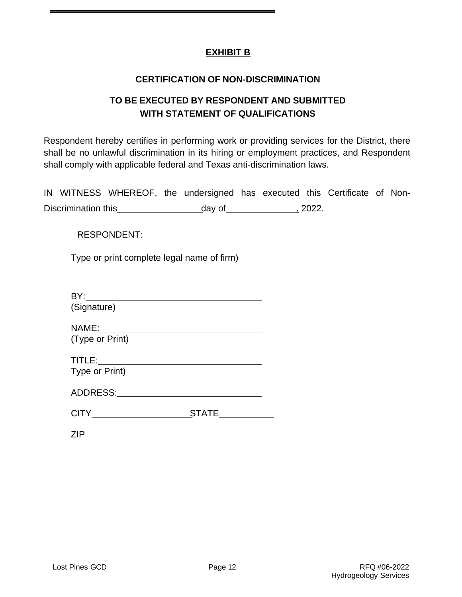#### **EXHIBIT B**

#### **CERTIFICATION OF NON-DISCRIMINATION**

#### **TO BE EXECUTED BY RESPONDENT AND SUBMITTED WITH STATEMENT OF QUALIFICATIONS**

Respondent hereby certifies in performing work or providing services for the District, there shall be no unlawful discrimination in its hiring or employment practices, and Respondent shall comply with applicable federal and Texas anti-discrimination laws.

|                     |  | IN WITNESS WHEREOF, the undersigned has executed this Certificate of Non- |  |       |  |  |
|---------------------|--|---------------------------------------------------------------------------|--|-------|--|--|
| Discrimination this |  | day of                                                                    |  | 2022. |  |  |

RESPONDENT:

Type or print complete legal name of firm)

| (Signature)     |       |
|-----------------|-------|
|                 |       |
| (Type or Print) |       |
|                 |       |
| Type or Print)  |       |
| ADDRESS:        |       |
|                 | STATE |
|                 |       |

ZIP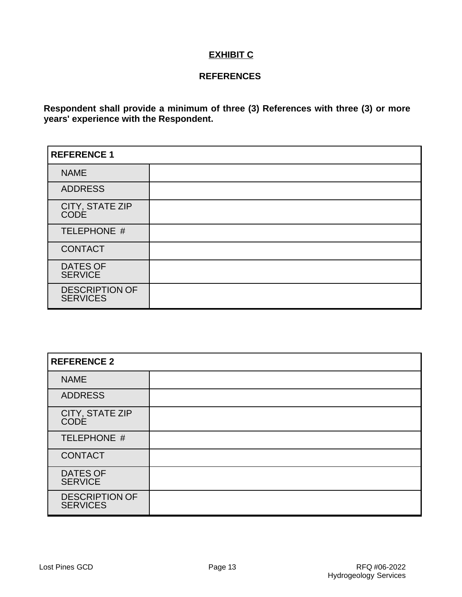#### **EXHIBIT C**

#### **REFERENCES**

**Respondent shall provide a minimum of three (3) References with three (3) or more years' experience with the Respondent.**

| <b>REFERENCE 1</b>                       |  |  |
|------------------------------------------|--|--|
| <b>NAME</b>                              |  |  |
| <b>ADDRESS</b>                           |  |  |
| CITY, STATE ZIP<br>CODE                  |  |  |
| TELEPHONE #                              |  |  |
| <b>CONTACT</b>                           |  |  |
| <b>DATES OF</b><br><b>SERVICE</b>        |  |  |
| <b>DESCRIPTION OF</b><br><b>SERVICES</b> |  |  |

| <b>REFERENCE 2</b>                       |  |  |
|------------------------------------------|--|--|
| <b>NAME</b>                              |  |  |
| <b>ADDRESS</b>                           |  |  |
| CITY, STATE ZIP<br>CODE                  |  |  |
| TELEPHONE #                              |  |  |
| <b>CONTACT</b>                           |  |  |
| <b>DATES OF</b><br><b>SERVICE</b>        |  |  |
| <b>DESCRIPTION OF</b><br><b>SERVICES</b> |  |  |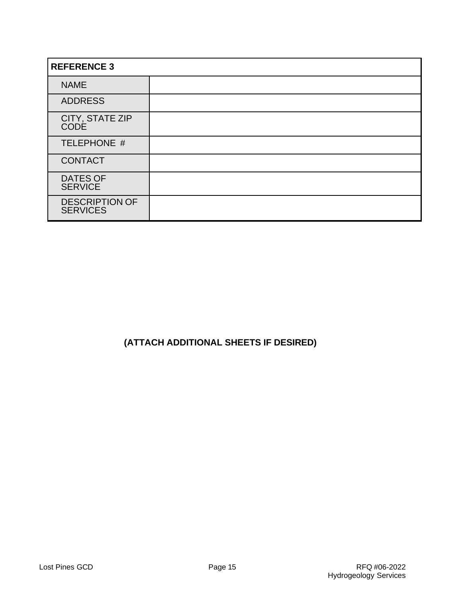| <b>REFERENCE 3</b>                       |  |  |
|------------------------------------------|--|--|
| <b>NAME</b>                              |  |  |
| <b>ADDRESS</b>                           |  |  |
| CITY, STATE ZIP<br><b>CODE</b>           |  |  |
| TELEPHONE #                              |  |  |
| <b>CONTACT</b>                           |  |  |
| <b>DATES OF</b><br><b>SERVICE</b>        |  |  |
| <b>DESCRIPTION OF</b><br><b>SERVICES</b> |  |  |

#### **(ATTACH ADDITIONAL SHEETS IF DESIRED)**